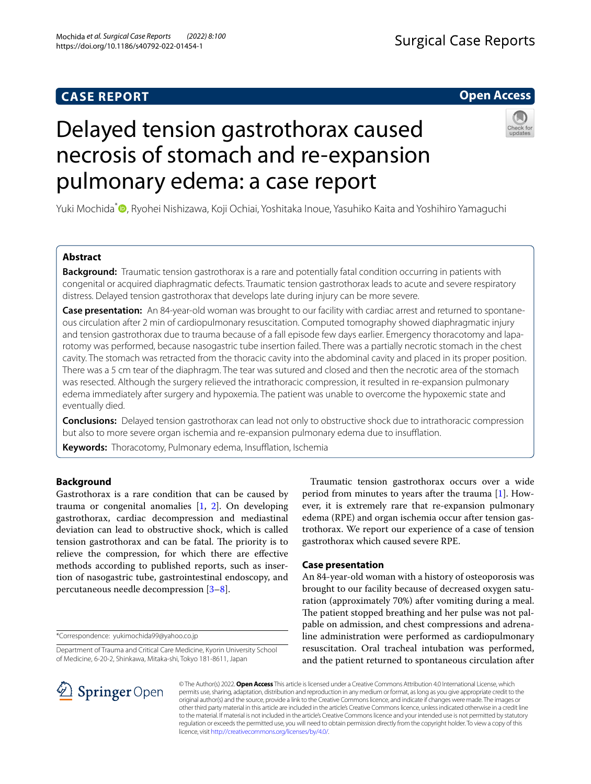## **CASE REPORT**

## **Open Access**

# Delayed tension gastrothorax caused necrosis of stomach and re-expansion pulmonary edema: a case report



Yuki Mochida<sup>\*</sup><sup>®</sup>[,](http://orcid.org/0000-0002-1041-3066) Ryohei Nishizawa, Koji Ochiai, Yoshitaka Inoue, Yasuhiko Kaita and Yoshihiro Yamaguchi

## **Abstract**

**Background:** Traumatic tension gastrothorax is a rare and potentially fatal condition occurring in patients with congenital or acquired diaphragmatic defects. Traumatic tension gastrothorax leads to acute and severe respiratory distress. Delayed tension gastrothorax that develops late during injury can be more severe.

**Case presentation:** An 84-year-old woman was brought to our facility with cardiac arrest and returned to spontaneous circulation after 2 min of cardiopulmonary resuscitation. Computed tomography showed diaphragmatic injury and tension gastrothorax due to trauma because of a fall episode few days earlier. Emergency thoracotomy and laparotomy was performed, because nasogastric tube insertion failed. There was a partially necrotic stomach in the chest cavity. The stomach was retracted from the thoracic cavity into the abdominal cavity and placed in its proper position. There was a 5 cm tear of the diaphragm. The tear was sutured and closed and then the necrotic area of the stomach was resected. Although the surgery relieved the intrathoracic compression, it resulted in re-expansion pulmonary edema immediately after surgery and hypoxemia. The patient was unable to overcome the hypoxemic state and eventually died.

**Conclusions:** Delayed tension gastrothorax can lead not only to obstructive shock due to intrathoracic compression but also to more severe organ ischemia and re-expansion pulmonary edema due to insufflation.

Keywords: Thoracotomy, Pulmonary edema, Insufflation, Ischemia

## **Background**

Gastrothorax is a rare condition that can be caused by trauma or congenital anomalies  $[1, 2]$  $[1, 2]$  $[1, 2]$  $[1, 2]$ . On developing gastrothorax, cardiac decompression and mediastinal deviation can lead to obstructive shock, which is called tension gastrothorax and can be fatal. The priority is to relieve the compression, for which there are efective methods according to published reports, such as insertion of nasogastric tube, gastrointestinal endoscopy, and percutaneous needle decompression [[3–](#page-3-2)[8\]](#page-3-3).

\*Correspondence: yukimochida99@yahoo.co.jp

Department of Trauma and Critical Care Medicine, Kyorin University School of Medicine, 6-20-2, Shinkawa, Mitaka-shi, Tokyo 181-8611, Japan

Traumatic tension gastrothorax occurs over a wide period from minutes to years after the trauma [\[1\]](#page-3-0). However, it is extremely rare that re-expansion pulmonary edema (RPE) and organ ischemia occur after tension gastrothorax. We report our experience of a case of tension gastrothorax which caused severe RPE.

## **Case presentation**

An 84-year-old woman with a history of osteoporosis was brought to our facility because of decreased oxygen saturation (approximately 70%) after vomiting during a meal. The patient stopped breathing and her pulse was not palpable on admission, and chest compressions and adrenaline administration were performed as cardiopulmonary resuscitation. Oral tracheal intubation was performed, and the patient returned to spontaneous circulation after



© The Author(s) 2022. **Open Access** This article is licensed under a Creative Commons Attribution 4.0 International License, which permits use, sharing, adaptation, distribution and reproduction in any medium or format, as long as you give appropriate credit to the original author(s) and the source, provide a link to the Creative Commons licence, and indicate if changes were made. The images or other third party material in this article are included in the article's Creative Commons licence, unless indicated otherwise in a credit line to the material. If material is not included in the article's Creative Commons licence and your intended use is not permitted by statutory regulation or exceeds the permitted use, you will need to obtain permission directly from the copyright holder. To view a copy of this licence, visit [http://creativecommons.org/licenses/by/4.0/.](http://creativecommons.org/licenses/by/4.0/)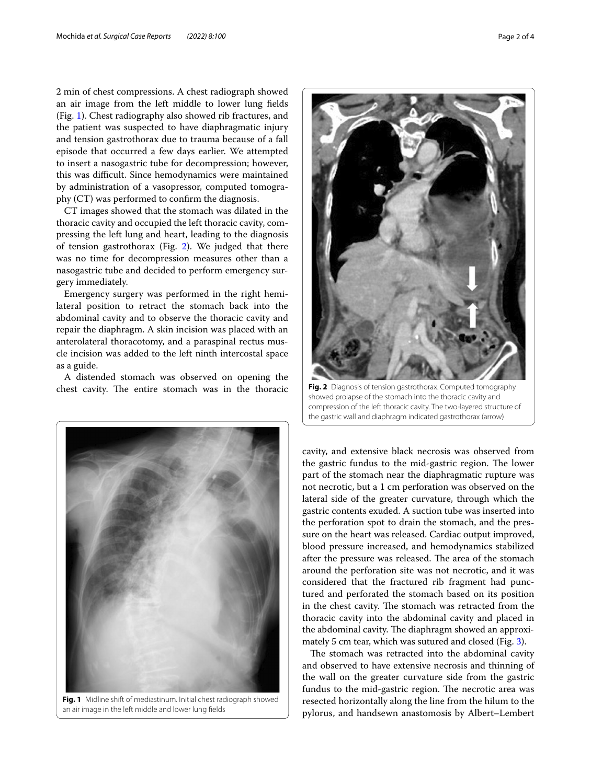2 min of chest compressions. A chest radiograph showed an air image from the left middle to lower lung felds (Fig. [1](#page-1-0)). Chest radiography also showed rib fractures, and the patient was suspected to have diaphragmatic injury and tension gastrothorax due to trauma because of a fall episode that occurred a few days earlier. We attempted to insert a nasogastric tube for decompression; however, this was difficult. Since hemodynamics were maintained by administration of a vasopressor, computed tomography (CT) was performed to confrm the diagnosis.

CT images showed that the stomach was dilated in the thoracic cavity and occupied the left thoracic cavity, compressing the left lung and heart, leading to the diagnosis of tension gastrothorax (Fig. [2](#page-1-1)). We judged that there was no time for decompression measures other than a nasogastric tube and decided to perform emergency surgery immediately.

Emergency surgery was performed in the right hemilateral position to retract the stomach back into the abdominal cavity and to observe the thoracic cavity and repair the diaphragm. A skin incision was placed with an anterolateral thoracotomy, and a paraspinal rectus muscle incision was added to the left ninth intercostal space as a guide.

A distended stomach was observed on opening the chest cavity. The entire stomach was in the thoracic

<span id="page-1-1"></span>cavity, and extensive black necrosis was observed from the gastric fundus to the mid-gastric region. The lower part of the stomach near the diaphragmatic rupture was not necrotic, but a 1 cm perforation was observed on the lateral side of the greater curvature, through which the gastric contents exuded. A suction tube was inserted into the perforation spot to drain the stomach, and the pressure on the heart was released. Cardiac output improved, blood pressure increased, and hemodynamics stabilized after the pressure was released. The area of the stomach around the perforation site was not necrotic, and it was considered that the fractured rib fragment had punctured and perforated the stomach based on its position in the chest cavity. The stomach was retracted from the thoracic cavity into the abdominal cavity and placed in the abdominal cavity. The diaphragm showed an approximately 5 cm tear, which was sutured and closed (Fig. [3](#page-2-0)).

The stomach was retracted into the abdominal cavity and observed to have extensive necrosis and thinning of the wall on the greater curvature side from the gastric fundus to the mid-gastric region. The necrotic area was resected horizontally along the line from the hilum to the pylorus, and handsewn anastomosis by Albert–Lembert

<span id="page-1-0"></span>**Fig. 1** Midline shift of mediastinum. Initial chest radiograph showed an air image in the left middle and lower lung felds

**Fig. 2** Diagnosis of tension gastrothorax. Computed tomography showed prolapse of the stomach into the thoracic cavity and compression of the left thoracic cavity. The two-layered structure of the gastric wall and diaphragm indicated gastrothorax (arrow)



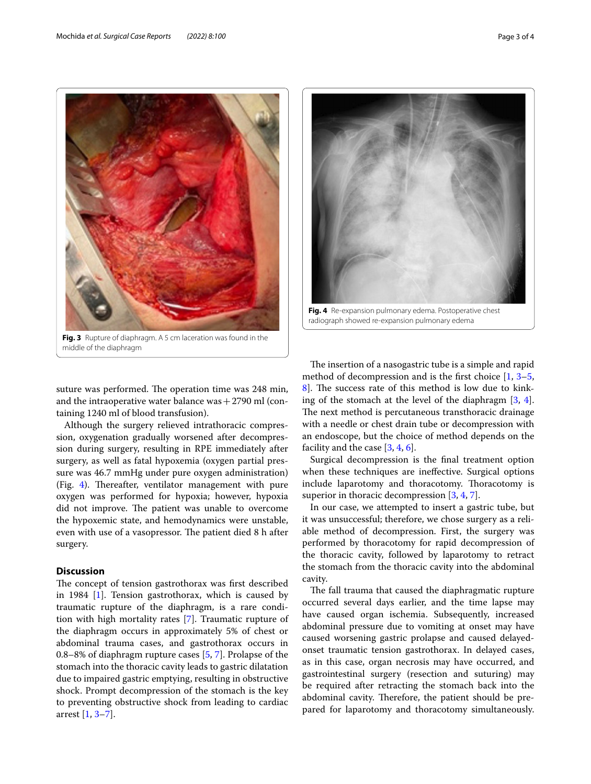

middle of the diaphragm

<span id="page-2-0"></span>suture was performed. The operation time was 248 min, and the intraoperative water balance was  $+2790$  ml (containing 1240 ml of blood transfusion).

Although the surgery relieved intrathoracic compression, oxygenation gradually worsened after decompression during surgery, resulting in RPE immediately after surgery, as well as fatal hypoxemia (oxygen partial pressure was 46.7 mmHg under pure oxygen administration) (Fig. [4\)](#page-2-1). Thereafter, ventilator management with pure oxygen was performed for hypoxia; however, hypoxia did not improve. The patient was unable to overcome the hypoxemic state, and hemodynamics were unstable, even with use of a vasopressor. The patient died 8 h after surgery.

## **Discussion**

The concept of tension gastrothorax was first described in 1984 [[1\]](#page-3-0). Tension gastrothorax, which is caused by traumatic rupture of the diaphragm, is a rare condition with high mortality rates [\[7](#page-3-4)]. Traumatic rupture of the diaphragm occurs in approximately 5% of chest or abdominal trauma cases, and gastrothorax occurs in 0.8–8% of diaphragm rupture cases [[5,](#page-3-5) [7](#page-3-4)]. Prolapse of the stomach into the thoracic cavity leads to gastric dilatation due to impaired gastric emptying, resulting in obstructive shock. Prompt decompression of the stomach is the key to preventing obstructive shock from leading to cardiac arrest [[1,](#page-3-0) [3](#page-3-2)[–7\]](#page-3-4).



**Fig. 4** Re-expansion pulmonary edema. Postoperative chest radiograph showed re-expansion pulmonary edema

<span id="page-2-1"></span>The insertion of a nasogastric tube is a simple and rapid method of decompression and is the first choice  $[1, 3-5, 1]$  $[1, 3-5, 1]$  $[1, 3-5, 1]$  $[1, 3-5, 1]$ [8\]](#page-3-3). The success rate of this method is low due to kinking of the stomach at the level of the diaphragm [\[3](#page-3-2), [4](#page-3-6)]. The next method is percutaneous transthoracic drainage with a needle or chest drain tube or decompression with an endoscope, but the choice of method depends on the facility and the case  $[3, 4, 6]$  $[3, 4, 6]$  $[3, 4, 6]$  $[3, 4, 6]$  $[3, 4, 6]$ .

Surgical decompression is the fnal treatment option when these techniques are inefective. Surgical options include laparotomy and thoracotomy. Thoracotomy is superior in thoracic decompression [[3,](#page-3-2) [4](#page-3-6), [7\]](#page-3-4).

In our case, we attempted to insert a gastric tube, but it was unsuccessful; therefore, we chose surgery as a reliable method of decompression. First, the surgery was performed by thoracotomy for rapid decompression of the thoracic cavity, followed by laparotomy to retract the stomach from the thoracic cavity into the abdominal cavity.

The fall trauma that caused the diaphragmatic rupture occurred several days earlier, and the time lapse may have caused organ ischemia. Subsequently, increased abdominal pressure due to vomiting at onset may have caused worsening gastric prolapse and caused delayedonset traumatic tension gastrothorax. In delayed cases, as in this case, organ necrosis may have occurred, and gastrointestinal surgery (resection and suturing) may be required after retracting the stomach back into the abdominal cavity. Therefore, the patient should be prepared for laparotomy and thoracotomy simultaneously.